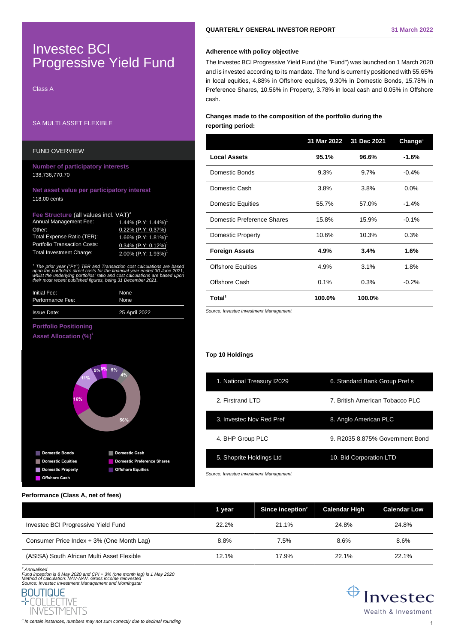# Investec BCI Progressive Yield Fund

Class A

# SA MULTI ASSET FLEXIBLE

# FUND OVERVIEW

### **Number of participatory interests** 138,736,770.70

### **Net asset value per participatory interest** 118.00 cents

#### **Fee Structure** (all values incl. VAT)<sup>3</sup>

| Annual Management Fee:              | 1.44% $(P.Y: 1.44%)$ <sup>1</sup>  |
|-------------------------------------|------------------------------------|
| Other:                              | $0.22\%$ (P.Y: 0.37%)              |
| <b>Total Expense Ratio (TER):</b>   | 1.66% $(P.Y: 1.81%)$ <sup>1</sup>  |
| <b>Portfolio Transaction Costs:</b> | $0.34\%$ (P.Y: 0.12%) <sup>1</sup> |
| <b>Total Investment Charge:</b>     | 2.00% $(P.Y: 1.93%)$               |

1 The prior year ("PY") TER and Tran upon the portfolio's direct costs for the financial year ended 30 June 2021, whilst the underlying portfolios' ratio and cost calculations are based upor. their most recent published figures, being 31 December 2021.

| Initial Fee:       | None          |  |
|--------------------|---------------|--|
| Performance Fee:   | None          |  |
| <b>Issue Date:</b> | 25 April 2022 |  |

### **Portfolio Positioning**

**Asset Allocation (%)<sup>3</sup>**



# **QUARTERLY GENERAL INVESTOR REPORT 31 March 2022**

### **Adherence with policy objective**

The Investec BCI Progressive Yield Fund (the "Fund") was launched on 1 March 2020 and is invested according to its mandate. The fund is currently positioned with 55.65% in local equities, 4.88% in Offshore equities, 9.30% in Domestic Bonds, 15.78% in Preference Shares, 10.56% in Property, 3.78% in local cash and 0.05% in Offshore cash.

## **Changes made to the composition of the portfolio during the reporting period:**

|                            | 31 Mar 2022 | 31 Dec 2021 | Change <sup>3</sup> |
|----------------------------|-------------|-------------|---------------------|
| <b>Local Assets</b>        | 95.1%       | 96.6%       | $-1.6%$             |
| Domestic Bonds             | 9.3%        | $9.7\%$     | $-0.4%$             |
| Domestic Cash              | 3.8%        | 3.8%        | $0.0\%$             |
| <b>Domestic Equities</b>   | 55.7%       | 57.0%       | $-1.4%$             |
| Domestic Preference Shares | 15.8%       | 15.9%       | $-0.1%$             |
| Domestic Property          | 10.6%       | 10.3%       | 0.3%                |
| <b>Foreign Assets</b>      | 4.9%        | 3.4%        | 1.6%                |
| <b>Offshore Equities</b>   | 4.9%        | 3.1%        | 1.8%                |
| Offshore Cash              | 0.1%        | 0.3%        | $-0.2%$             |
| <b>Total</b> <sup>3</sup>  | 100.0%      | 100.0%      |                     |

Source: Investec Investment Management

### **Top 10 Holdings**

| 1. National Treasury I2029 | 6. Standard Bank Group Pref s    |
|----------------------------|----------------------------------|
| 2. Firstrand LTD           | 7. British American Tobacco PI C |
| 3. Invested Nov Red Pref   | 8. Anglo American PLC            |
| 4. BHP Group PLC           | 9. R2035 8.875% Government Bond  |
| 5. Shoprite Holdings Ltd   | 10. Bid Corporation LTD          |
|                            |                                  |

Source: Investec Investment Management

### **Performance (Class A, net of fees)**

|                                            | 1 year | Since inception <sup>2</sup> | <b>Calendar High</b> | <b>Calendar Low</b> |
|--------------------------------------------|--------|------------------------------|----------------------|---------------------|
| Investec BCI Progressive Yield Fund        | 22.2%  | $21.1\%$                     | 24.8%                | 24.8%               |
| Consumer Price Index + 3% (One Month Lag)  | 8.8%   | 7.5%                         | 8.6%                 | 8.6%                |
| (ASISA) South African Multi Asset Flexible | 12.1%  | 17.9%                        | 22.1%                | 22.1%               |

<sup>2</sup> Annualised

Fund inception is 8 May 2020 and CPI + 3% (one month lag) is 1 May 2020 Method of calculation: NAV-NAV. Gross income reinvested Source: Investec Investment Management and Morningstar





 $^3$  In certain instances, numbers may not sum correctly due to decimal rounding  $\,1\,$